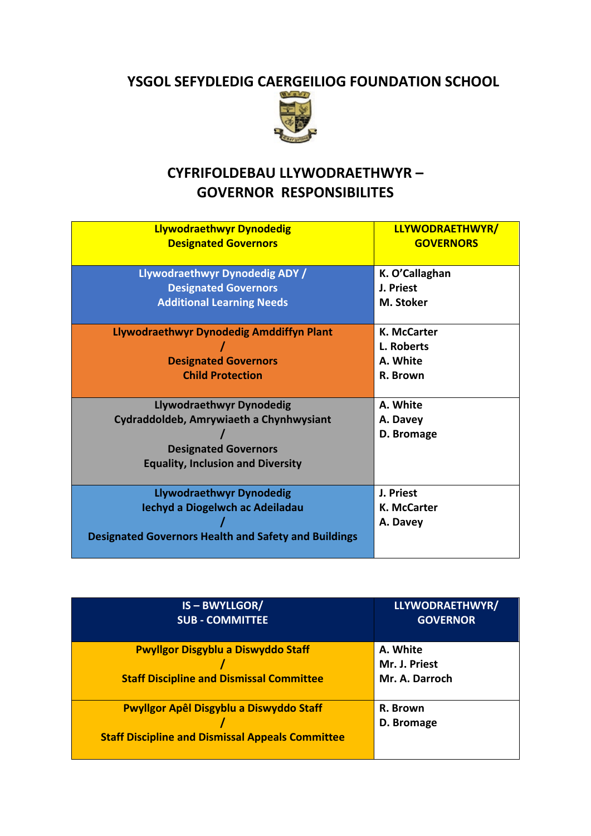## **YSGOL SEFYDLEDIG CAERGEILIOG FOUNDATION SCHOOL**



## **CYFRIFOLDEBAU LLYWODRAETHWYR – GOVERNOR RESPONSIBILITES**

| <b>Llywodraethwyr Dynodedig</b>                                                                                                                | LLYWODRAETHWYR/                                          |
|------------------------------------------------------------------------------------------------------------------------------------------------|----------------------------------------------------------|
| <b>Designated Governors</b>                                                                                                                    | <b>GOVERNORS</b>                                         |
| Llywodraethwyr Dynodedig ADY /                                                                                                                 | K. O'Callaghan                                           |
| <b>Designated Governors</b>                                                                                                                    | J. Priest                                                |
| <b>Additional Learning Needs</b>                                                                                                               | M. Stoker                                                |
| Llywodraethwyr Dynodedig Amddiffyn Plant<br><b>Designated Governors</b><br><b>Child Protection</b>                                             | <b>K. McCarter</b><br>L. Roberts<br>A. White<br>R. Brown |
| Llywodraethwyr Dynodedig<br>Cydraddoldeb, Amrywiaeth a Chynhwysiant<br><b>Designated Governors</b><br><b>Equality, Inclusion and Diversity</b> | A. White<br>A. Davey<br>D. Bromage                       |
| <b>Llywodraethwyr Dynodedig</b>                                                                                                                | J. Priest                                                |
| Iechyd a Diogelwch ac Adeiladau                                                                                                                | K. McCarter                                              |
| <b>Designated Governors Health and Safety and Buildings</b>                                                                                    | A. Davey                                                 |

| <b>IS-BWYLLGOR/</b>                                                                          | LLYWODRAETHWYR/                             |
|----------------------------------------------------------------------------------------------|---------------------------------------------|
| <b>SUB - COMMITTEE</b>                                                                       | <b>GOVERNOR</b>                             |
| <b>Pwyllgor Disgyblu a Diswyddo Staff</b><br><b>Staff Discipline and Dismissal Committee</b> | A. White<br>Mr. J. Priest<br>Mr. A. Darroch |
| Pwyllgor Apêl Disgyblu a Diswyddo Staff                                                      | R. Brown                                    |
| <b>Staff Discipline and Dismissal Appeals Committee</b>                                      | D. Bromage                                  |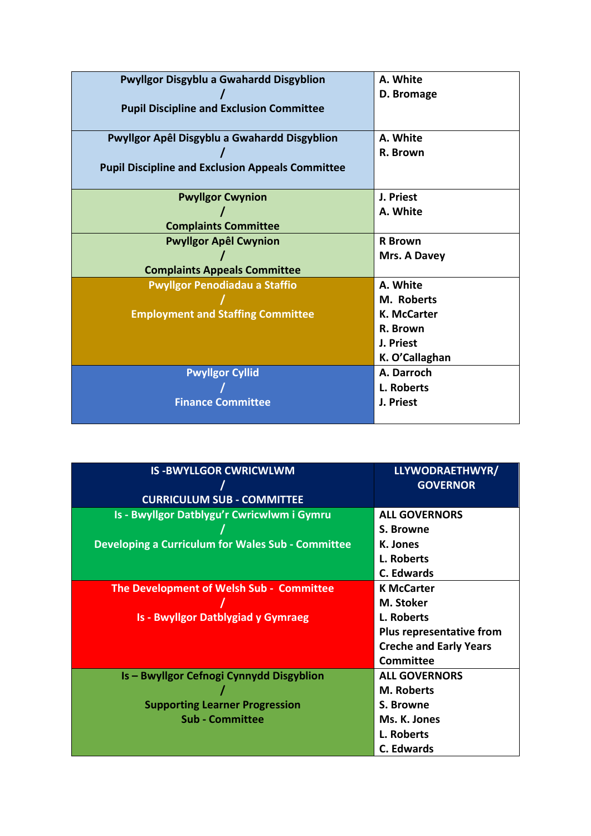| <b>Pwyllgor Disgyblu a Gwahardd Disgyblion</b>          | A. White       |
|---------------------------------------------------------|----------------|
|                                                         | D. Bromage     |
| <b>Pupil Discipline and Exclusion Committee</b>         |                |
|                                                         |                |
|                                                         |                |
| Pwyllgor Apêl Disgyblu a Gwahardd Disgyblion            | A. White       |
|                                                         | R. Brown       |
| <b>Pupil Discipline and Exclusion Appeals Committee</b> |                |
|                                                         |                |
|                                                         |                |
| <b>Pwyllgor Cwynion</b>                                 | J. Priest      |
|                                                         | A. White       |
| <b>Complaints Committee</b>                             |                |
|                                                         |                |
| <b>Pwyllgor Apêl Cwynion</b>                            | <b>R</b> Brown |
|                                                         | Mrs. A Davey   |
| <b>Complaints Appeals Committee</b>                     |                |
| <b>Pwyllgor Penodiadau a Staffio</b>                    | A. White       |
|                                                         | M. Roberts     |
| <b>Employment and Staffing Committee</b>                | K. McCarter    |
|                                                         | R. Brown       |
|                                                         | J. Priest      |
|                                                         | K. O'Callaghan |
| <b>Pwyllgor Cyllid</b>                                  | A. Darroch     |
|                                                         | L. Roberts     |
| <b>Finance Committee</b>                                | J. Priest      |
|                                                         |                |
|                                                         |                |

| <b>IS-BWYLLGOR CWRICWLWM</b>                             | LLYWODRAETHWYR/               |
|----------------------------------------------------------|-------------------------------|
|                                                          | <b>GOVERNOR</b>               |
| <b>CURRICULUM SUB - COMMITTEE</b>                        |                               |
| Is - Bwyllgor Datblygu'r Cwricwlwm i Gymru               | <b>ALL GOVERNORS</b>          |
|                                                          | S. Browne                     |
| <b>Developing a Curriculum for Wales Sub - Committee</b> | K. Jones                      |
|                                                          | L. Roberts                    |
|                                                          | C. Edwards                    |
| The Development of Welsh Sub - Committee                 | <b>K McCarter</b>             |
|                                                          | M. Stoker                     |
| <b>Is - Bwyllgor Datblygiad y Gymraeg</b>                | L. Roberts                    |
|                                                          | Plus representative from      |
|                                                          | <b>Creche and Early Years</b> |
|                                                          | <b>Committee</b>              |
| <b>Is - Bwyllgor Cefnogi Cynnydd Disgyblion</b>          | <b>ALL GOVERNORS</b>          |
|                                                          | <b>M. Roberts</b>             |
| <b>Supporting Learner Progression</b>                    | S. Browne                     |
| <b>Sub - Committee</b>                                   | Ms. K. Jones                  |
|                                                          | L. Roberts                    |
|                                                          | <b>C.</b> Edwards             |